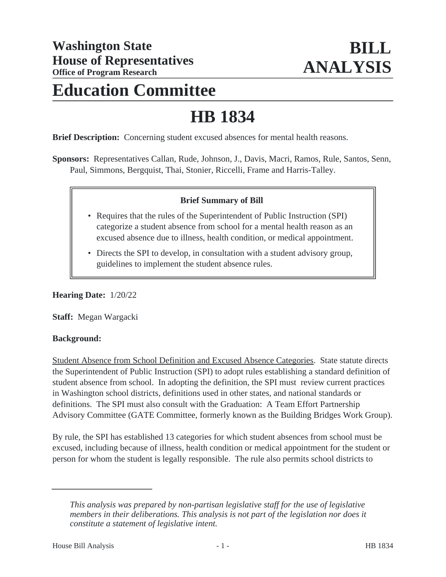# **Education Committee**

# **HB 1834**

**Brief Description:** Concerning student excused absences for mental health reasons.

**Sponsors:** Representatives Callan, Rude, Johnson, J., Davis, Macri, Ramos, Rule, Santos, Senn, Paul, Simmons, Bergquist, Thai, Stonier, Riccelli, Frame and Harris-Talley.

## **Brief Summary of Bill**

- Requires that the rules of the Superintendent of Public Instruction (SPI) categorize a student absence from school for a mental health reason as an excused absence due to illness, health condition, or medical appointment.
- Directs the SPI to develop, in consultation with a student advisory group, guidelines to implement the student absence rules.

**Hearing Date:** 1/20/22

**Staff:** Megan Wargacki

#### **Background:**

Student Absence from School Definition and Excused Absence Categories. State statute directs the Superintendent of Public Instruction (SPI) to adopt rules establishing a standard definition of student absence from school. In adopting the definition, the SPI must review current practices in Washington school districts, definitions used in other states, and national standards or definitions. The SPI must also consult with the Graduation: A Team Effort Partnership Advisory Committee (GATE Committee, formerly known as the Building Bridges Work Group).

By rule, the SPI has established 13 categories for which student absences from school must be excused, including because of illness, health condition or medical appointment for the student or person for whom the student is legally responsible. The rule also permits school districts to

*This analysis was prepared by non-partisan legislative staff for the use of legislative members in their deliberations. This analysis is not part of the legislation nor does it constitute a statement of legislative intent.*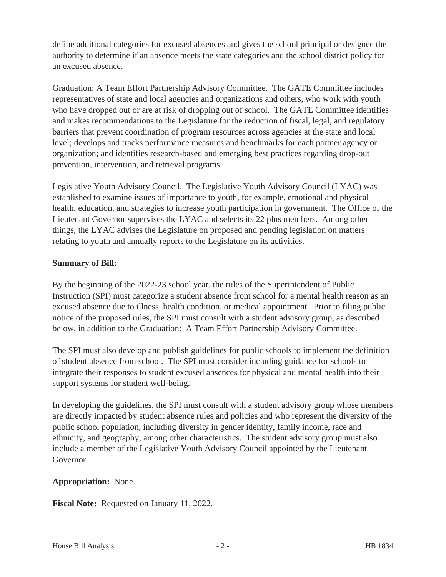define additional categories for excused absences and gives the school principal or designee the authority to determine if an absence meets the state categories and the school district policy for an excused absence.

Graduation: A Team Effort Partnership Advisory Committee. The GATE Committee includes representatives of state and local agencies and organizations and others, who work with youth who have dropped out or are at risk of dropping out of school. The GATE Committee identifies and makes recommendations to the Legislature for the reduction of fiscal, legal, and regulatory barriers that prevent coordination of program resources across agencies at the state and local level; develops and tracks performance measures and benchmarks for each partner agency or organization; and identifies research-based and emerging best practices regarding drop-out prevention, intervention, and retrieval programs.

Legislative Youth Advisory Council. The Legislative Youth Advisory Council (LYAC) was established to examine issues of importance to youth, for example, emotional and physical health, education, and strategies to increase youth participation in government. The Office of the Lieutenant Governor supervises the LYAC and selects its 22 plus members. Among other things, the LYAC advises the Legislature on proposed and pending legislation on matters relating to youth and annually reports to the Legislature on its activities.

# **Summary of Bill:**

By the beginning of the 2022-23 school year, the rules of the Superintendent of Public Instruction (SPI) must categorize a student absence from school for a mental health reason as an excused absence due to illness, health condition, or medical appointment. Prior to filing public notice of the proposed rules, the SPI must consult with a student advisory group, as described below, in addition to the Graduation: A Team Effort Partnership Advisory Committee.

The SPI must also develop and publish guidelines for public schools to implement the definition of student absence from school. The SPI must consider including guidance for schools to integrate their responses to student excused absences for physical and mental health into their support systems for student well-being.

In developing the guidelines, the SPI must consult with a student advisory group whose members are directly impacted by student absence rules and policies and who represent the diversity of the public school population, including diversity in gender identity, family income, race and ethnicity, and geography, among other characteristics. The student advisory group must also include a member of the Legislative Youth Advisory Council appointed by the Lieutenant Governor.

## **Appropriation:** None.

**Fiscal Note:** Requested on January 11, 2022.